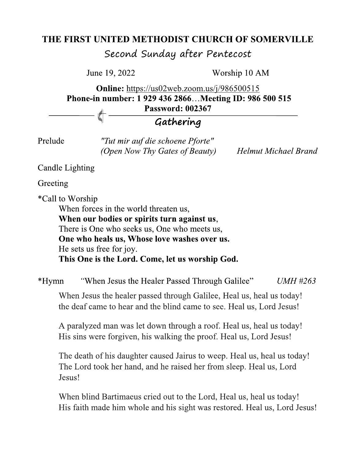## THE FIRST UNITED METHODIST CHURCH OF SOMERVILLE

Second Sunday after Pentecost

June 19, 2022

Worship 10 AM

Online: https://us02web.zoom.us/j/986500515 Phone-in number: 1 929 436 2866...Meeting ID: 986 500 515 **Password: 002367** 

## Gathering

Prelude

"Tut mir auf die schoene Pforte" (Open Now Thy Gates of Beauty)

**Helmut Michael Brand** 

**Candle Lighting** 

Greeting

\*Call to Worship

When forces in the world threaten us, When our bodies or spirits turn against us, There is One who seeks us, One who meets us, One who heals us, Whose love washes over us. He sets us free for joy. This One is the Lord. Come, let us worship God.

"When Jesus the Healer Passed Through Galilee" \*Hymn  $UMH$ #263

When Jesus the healer passed through Galilee, Heal us, heal us today! the deaf came to hear and the blind came to see. Heal us, Lord Jesus!

A paralyzed man was let down through a roof. Heal us, heal us today! His sins were forgiven, his walking the proof. Heal us, Lord Jesus!

The death of his daughter caused Jairus to weep. Heal us, heal us today! The Lord took her hand, and he raised her from sleep. Heal us, Lord Jesus!

When blind Bartimaeus cried out to the Lord, Heal us, heal us today! His faith made him whole and his sight was restored. Heal us, Lord Jesus!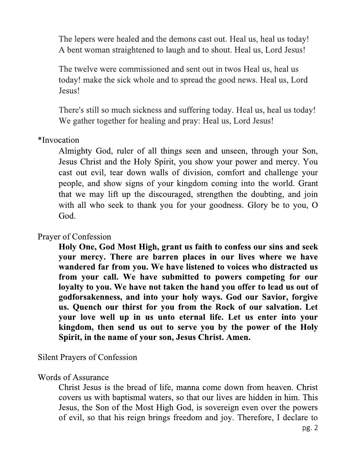The lepers were healed and the demons cast out. Heal us, heal us today! A bent woman straightened to laugh and to shout. Heal us, Lord Jesus!

The twelve were commissioned and sent out in twos Heal us, heal us today! make the sick whole and to spread the good news. Heal us, Lord Jesus!

There's still so much sickness and suffering today. Heal us, heal us today! We gather together for healing and pray: Heal us, Lord Jesus!

\*Invocation

Almighty God, ruler of all things seen and unseen, through your Son, Jesus Christ and the Holy Spirit, you show your power and mercy. You cast out evil, tear down walls of division, comfort and challenge your people, and show signs of your kingdom coming into the world. Grant that we may lift up the discouraged, strengthen the doubting, and join with all who seek to thank you for your goodness. Glory be to you, O God.

Prayer of Confession

Holy One, God Most High, grant us faith to confess our sins and seek your mercy. There are barren places in our lives where we have wandered far from you. We have listened to voices who distracted us from your call. We have submitted to powers competing for our loyalty to you. We have not taken the hand you offer to lead us out of godforsakenness, and into your holy ways. God our Savior, forgive us. Quench our thirst for you from the Rock of our salvation. Let your love well up in us unto eternal life. Let us enter into your kingdom, then send us out to serve you by the power of the Holy Spirit, in the name of your son, Jesus Christ. Amen.

Silent Prayers of Confession

#### **Words of Assurance**

Christ Jesus is the bread of life, manna come down from heaven. Christ covers us with baptismal waters, so that our lives are hidden in him. This Jesus, the Son of the Most High God, is sovereign even over the powers of evil, so that his reign brings freedom and joy. Therefore, I declare to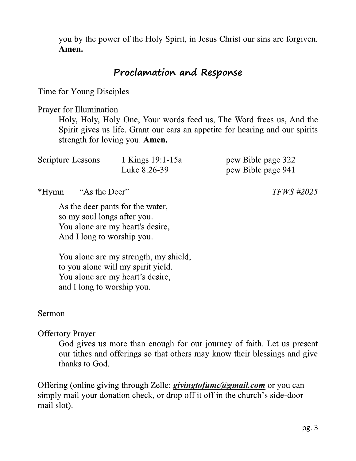you by the power of the Holy Spirit, in Jesus Christ our sins are forgiven. Amen.

### Proclamation and Response

Time for Young Disciples

Prayer for Illumination

Holy, Holy, Holy One, Your words feed us, The Word frees us, And the Spirit gives us life. Grant our ears an appetite for hearing and our spirits strength for loving you. Amen.

| Scripture Lessons | 1 Kings 19:1-15a | pew Bible page 322 |
|-------------------|------------------|--------------------|
|                   | Luke 8:26-39     | pew Bible page 941 |

\*Hymn "As the Deer"

> As the deer pants for the water, so my soul longs after you. You alone are my heart's desire, And I long to worship you.

You alone are my strength, my shield; to you alone will my spirit yield. You alone are my heart's desire, and I long to worship you.

#### Sermon

**Offertory Prayer** 

God gives us more than enough for our journey of faith. Let us present our tithes and offerings so that others may know their blessings and give thanks to God.

Offering (online giving through Zelle: *givingtofumc@gmail.com* or you can simply mail your donation check, or drop off it off in the church's side-door mail slot).

**TFWS** #2025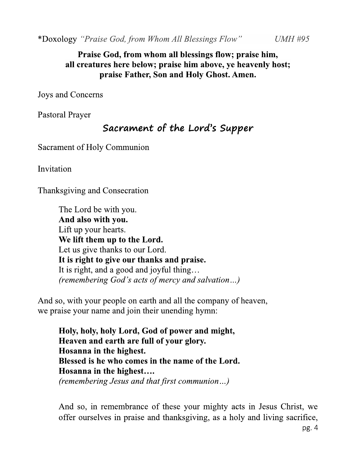\*Doxology "Praise God, from Whom All Blessings Flow"

Praise God, from whom all blessings flow; praise him, all creatures here below; praise him above, ve heavenly host; praise Father, Son and Holy Ghost. Amen.

**Joys and Concerns** 

**Pastoral Prayer** 

## Sacrament of the Lord's Supper

Sacrament of Holy Communion

Invitation

Thanksgiving and Consecration

The Lord be with you. And also with you. Lift up your hearts. We lift them up to the Lord. Let us give thanks to our Lord. It is right to give our thanks and praise. It is right, and a good and joyful thing... (remembering God's acts of mercy and salvation...)

And so, with your people on earth and all the company of heaven, we praise your name and join their unending hymn:

Holy, holy, holy Lord, God of power and might, Heaven and earth are full of your glory. Hosanna in the highest. Blessed is he who comes in the name of the Lord. Hosanna in the highest.... (remembering Jesus and that first communion...)

And so, in remembrance of these your mighty acts in Jesus Christ, we offer ourselves in praise and thanksgiving, as a holy and living sacrifice,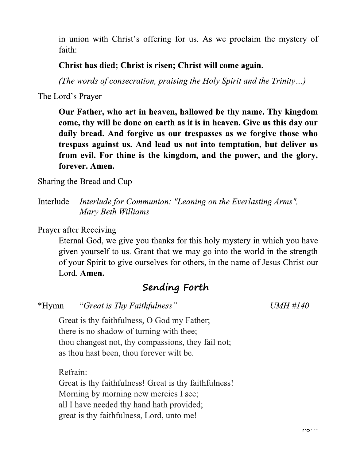in union with Christ's offering for us. As we proclaim the mystery of faith:

#### Christ has died; Christ is risen; Christ will come again.

(The words of consecration, praising the Holy Spirit and the Trinity...)

The Lord's Prayer

Our Father, who art in heaven, hallowed be thy name. Thy kingdom come, thy will be done on earth as it is in heaven. Give us this day our daily bread. And forgive us our trespasses as we forgive those who trespass against us. And lead us not into temptation, but deliver us from evil. For thine is the kingdom, and the power, and the glory, forever. Amen.

Sharing the Bread and Cup

Interlude Interlude for Communion: "Leaning on the Everlasting Arms", Mary Beth Williams

**Prayer after Receiving** 

Eternal God, we give you thanks for this holy mystery in which you have given yourself to us. Grant that we may go into the world in the strength of your Spirit to give ourselves for others, in the name of Jesus Christ our Lord. Amen.

## Sending Forth

"Great is Thy Faithfulness" \*Hymn

**UMH #140** 

Great is thy faithfulness, O God my Father; there is no shadow of turning with thee; thou changest not, thy compassions, they fail not; as thou hast been, thou forever wilt be.

Refrain:

Great is thy faithfulness! Great is thy faithfulness! Morning by morning new mercies I see; all I have needed thy hand hath provided; great is thy faithfulness, Lord, unto me!